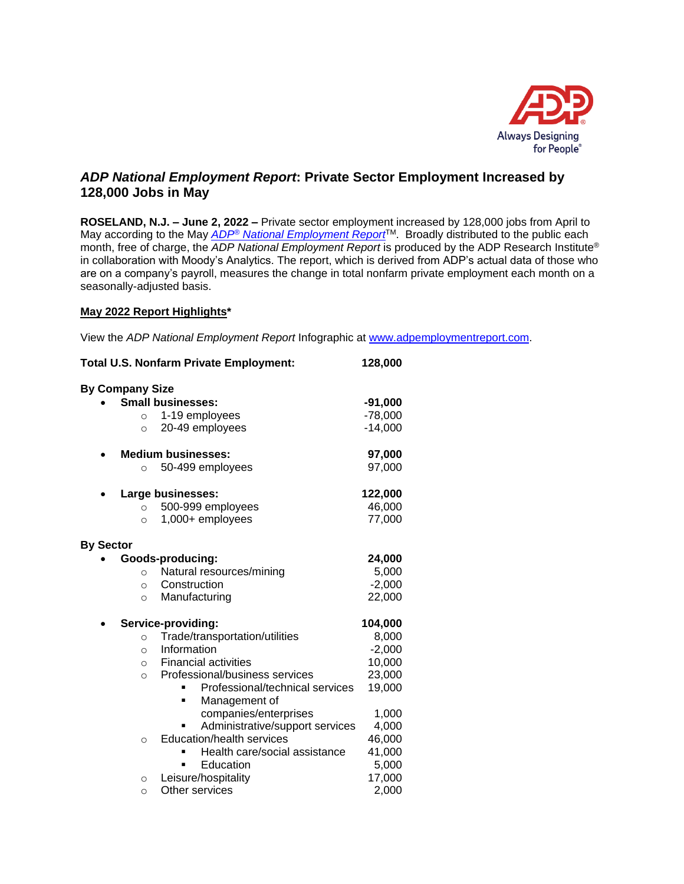

# *ADP National Employment Report***: Private Sector Employment Increased by 128,000 Jobs in May**

**ROSELAND, N.J. – June 2, 2022 –** Private sector employment increased by 128,000 jobs from April to May according to the May *ADP® [National Employment Report](http://www.adpemploymentreport.com/)*TM. Broadly distributed to the public each month, free of charge, the *ADP National Employment Report* is produced by the ADP Research Institute® in collaboration with Moody's Analytics. The report, which is derived from ADP's actual data of those who are on a company's payroll, measures the change in total nonfarm private employment each month on a seasonally-adjusted basis.

### **May 2022 Report Highlights\***

View the *ADP National Employment Report* Infographic at [www.adpemploymentreport.com.](http://www.adpemploymentreport.com/)

| <b>Total U.S. Nonfarm Private Employment:</b> |                                 | 128,000   |  |
|-----------------------------------------------|---------------------------------|-----------|--|
| <b>By Company Size</b>                        |                                 |           |  |
| <b>Small businesses:</b>                      |                                 | $-91,000$ |  |
| 1-19 employees<br>$\circ$                     |                                 | $-78,000$ |  |
| 20-49 employees<br>$\circ$                    |                                 | $-14,000$ |  |
| <b>Medium businesses:</b>                     |                                 | 97,000    |  |
| 50-499 employees<br>$\circ$                   |                                 | 97,000    |  |
| Large businesses:                             |                                 | 122,000   |  |
| 500-999 employees<br>$\circ$                  |                                 | 46,000    |  |
| 1,000+ employees<br>$\circ$                   |                                 | 77,000    |  |
| <b>By Sector</b>                              |                                 |           |  |
| Goods-producing:                              |                                 | 24,000    |  |
| $\circ$                                       | Natural resources/mining        | 5,000     |  |
| Construction<br>$\circ$                       |                                 | $-2,000$  |  |
| Manufacturing<br>$\circ$                      |                                 | 22,000    |  |
| Service-providing:                            |                                 | 104,000   |  |
| $\circ$                                       | Trade/transportation/utilities  | 8,000     |  |
| Information<br>$\circ$                        |                                 | $-2,000$  |  |
| <b>Financial activities</b><br>$\circ$        |                                 | 10,000    |  |
| $\circ$                                       | Professional/business services  | 23,000    |  |
|                                               | Professional/technical services | 19,000    |  |
| Ξ                                             | Management of                   |           |  |
|                                               | companies/enterprises           | 1,000     |  |
|                                               | Administrative/support services | 4,000     |  |
| $\circ$                                       | Education/health services       | 46,000    |  |
|                                               | Health care/social assistance   | 41,000    |  |
|                                               | Education                       | 5,000     |  |
| Leisure/hospitality<br>$\circ$                |                                 | 17,000    |  |
| Other services<br>$\circ$                     |                                 | 2,000     |  |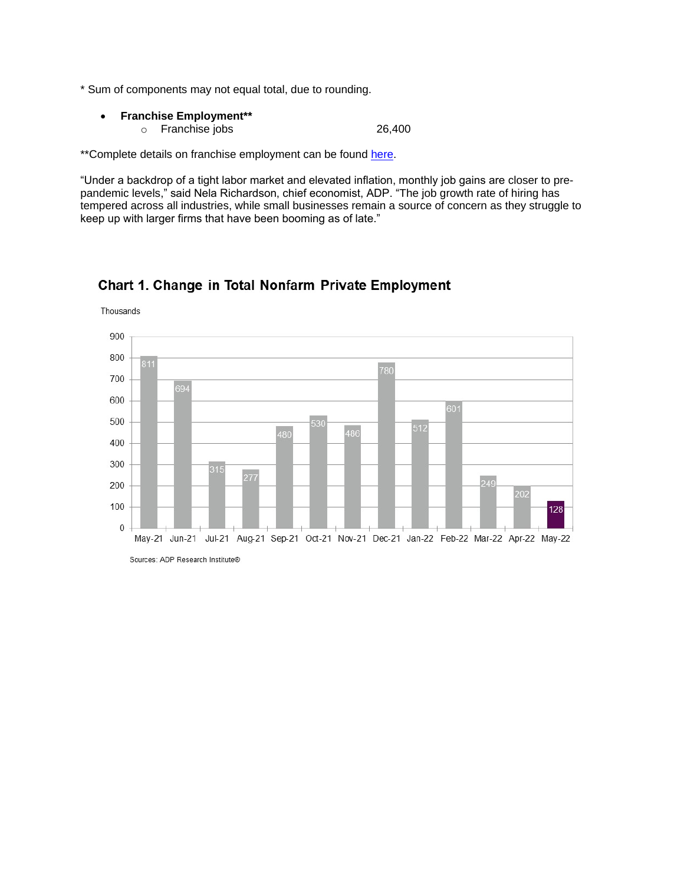- \* Sum of components may not equal total, due to rounding.
	- **Franchise Employment\*\*** o Franchise jobs 26,400

\*\*Complete details on franchise employment can be found [here.](http://www.adpemploymentreport.com/)

"Under a backdrop of a tight labor market and elevated inflation, monthly job gains are closer to prepandemic levels," said Nela Richardson, chief economist, ADP. "The job growth rate of hiring has tempered across all industries, while small businesses remain a source of concern as they struggle to keep up with larger firms that have been booming as of late."



## Chart 1. Change in Total Nonfarm Private Employment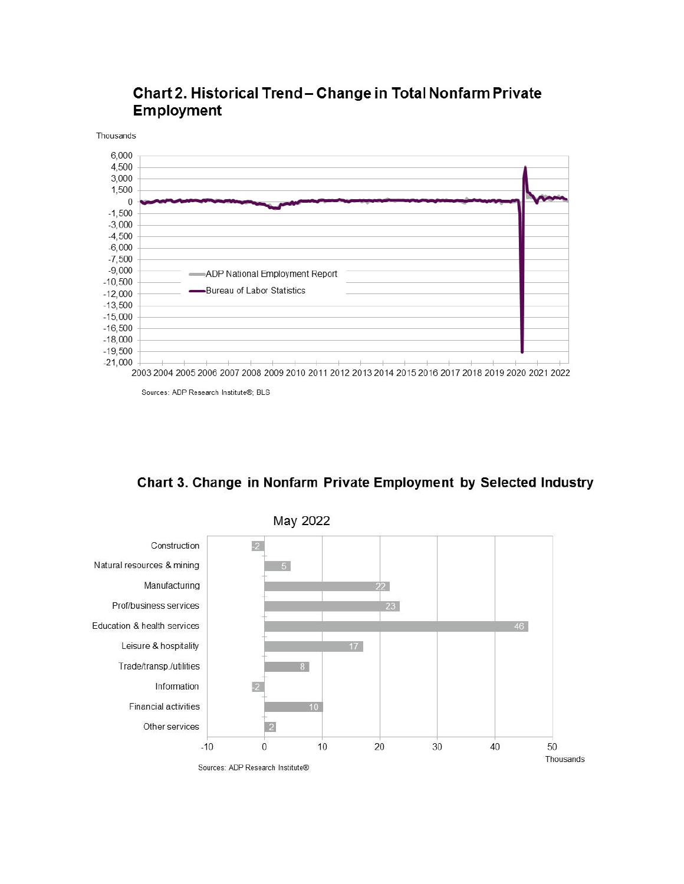



Sources: ADP Research Institute®; BLS

Chart 3. Change in Nonfarm Private Employment by Selected Industry

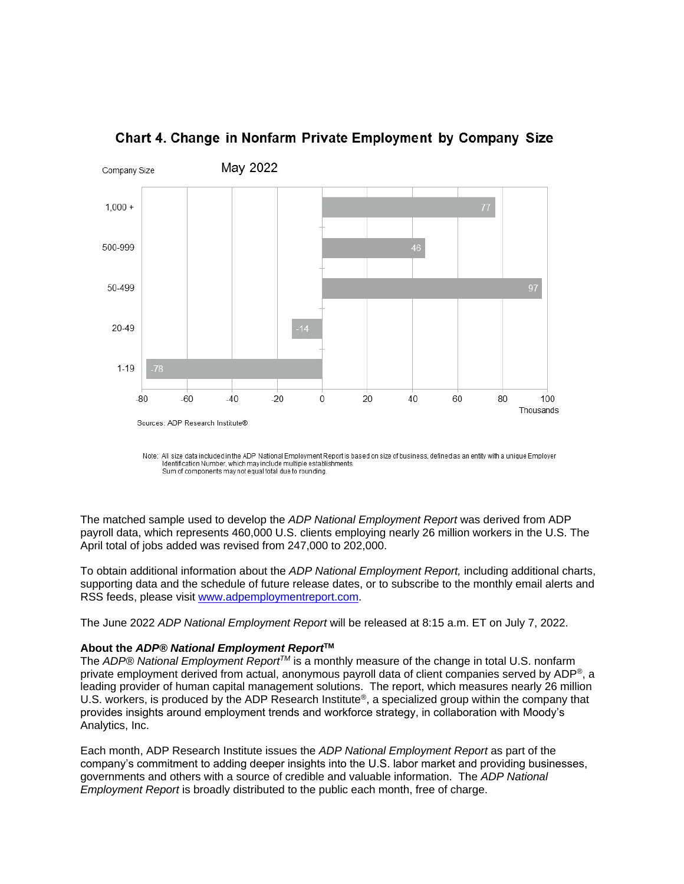

## Chart 4. Change in Nonfarm Private Employment by Company Size

Note: All size data included in the ADP National Employment Report is based on size of business, defined as an entity with a unique Employer Identification Number, which may include multiple establishments. Sum of components may not equal total due to rounding.

The matched sample used to develop the *ADP National Employment Report* was derived from ADP payroll data, which represents 460,000 U.S. clients employing nearly 26 million workers in the U.S. The April total of jobs added was revised from 247,000 to 202,000.

To obtain additional information about the *ADP National Employment Report,* including additional charts, supporting data and the schedule of future release dates, or to subscribe to the monthly email alerts and RSS feeds, please visit [www.adpemploymentreport.com.](http://www.adpemploymentreport.com/)

The June 2022 *ADP National Employment Report* will be released at 8:15 a.m. ET on July 7, 2022.

#### **About the** *ADP® National Employment Report***TM**

The *ADP® National Employment ReportTM* is a monthly measure of the change in total U.S. nonfarm private employment derived from actual, anonymous payroll data of client companies served by ADP®, a leading provider of human capital management solutions. The report, which measures nearly 26 million U.S. workers, is produced by the ADP Research Institute<sup>®</sup>, a specialized group within the company that provides insights around employment trends and workforce strategy, in collaboration with Moody's Analytics, Inc.

Each month, ADP Research Institute issues the *ADP National Employment Report* as part of the company's commitment to adding deeper insights into the U.S. labor market and providing businesses, governments and others with a source of credible and valuable information. The *ADP National Employment Report* is broadly distributed to the public each month, free of charge.